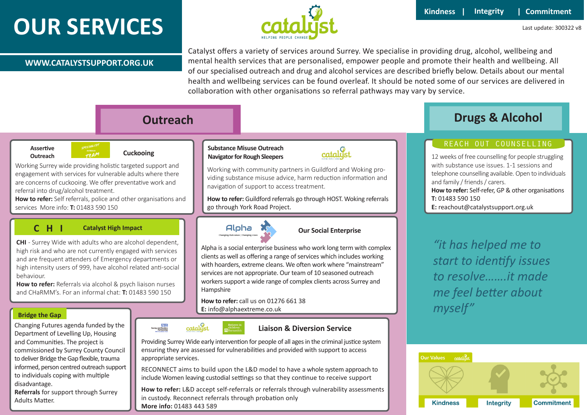# **OUR SERVICES**



Last update: 300322 v8

#### **WWW.CATALYSTSUPPORT.ORG.UK**

Catalyst offers a variety of services around Surrey. We specialise in providing drug, alcohol, wellbeing and mental health services that are personalised, empower people and promote their health and wellbeing. All of our specialised outreach and drug and alcohol services are described briefly below. Details about our mental health and wellbeing services can be found overleaf. It should be noted some of our services are delivered in collaboration with other organisations so referral pathways may vary by service.

# **Assertive**

# **Outreach Cuckooing**

. Working Surrey wide providing holistic targeted support and [engagement with services for vulnerable adults where there](https://www.catalystsupport.org.uk/cuckooing/)  are concerns of cuckooing. We offer preventative work and referral into drug/alcohol treatment.

**How to refer:** Self referrals, police and other organisations and services More info: **T:** 01483 590 150

### **C H I Catalyst High Impact**

**CHI** - Surrey Wide with adults who are alcohol dependent, high risk and who are not currently engaged with services and are frequent attenders of Emergency departments or [high intensity users of 999, have alcohol related anti-social](https://www.catalystsupport.org.uk/chi/)  behaviour.

**How to refer:** Referrals via alcohol & psych liaison nurses and CHaRMM's. For an informal chat: **T:** 01483 590 150

#### **Bridge the Gap**

Changing Futures agenda funded by the Department of Levelling Up, Housing and Communities. The project is commissioned by Surrey County Council to deliver Bridge the Gap flexible, trauma [informed, person centred outreach support](https://www.catalystsupport.org.uk/chi/)  to individuals coping with multiple disadvantage.

**Referrals** for support through Surrey Adults Matter.

#### **Substance Misuse Outreach Navigator for Rough Sleepers**



Working with community partners in Guildford and Woking providing substance misuse advice, harm reduction information and navigation of support to access treatment.

**How to refer:** Guildford referrals go through HOST. Woking referrals go through York Road Project.



#### **Our Social Enterprise**

[Alpha is a social enterprise business who work long term with complex](https://www.catalystsupport.org.uk/alpha/)  clients as well as offering a range of services which includes working with hoarders, extreme cleans. We often work where "mainstream" services are not appropriate. Our team of 10 seasoned outreach workers support a wide range of complex clients across Surrey and Hampshire

#### **How to refer:** call us on 01276 661 38 **E:** info@alphaextreme.co.uk



#### **Liaison & Diversion Service**

Providing Surrey Wide early intervention for people of all ages in the criminal justice system ensuring they are assessed for vulnerabilities and provided with support to access appropriate services.

RECONNECT aims to build upon the L&D model to have a whole system approach to include Women leaving custodial settings so that they continue to receive support

**How to refer:** L&D accept self-referrals or referrals through vulnerability assessments in custody. Reconnect referrals through probation only **More info:** 01483 443 589

# **Outreach Drugs & Alcohol**

### [REACH OUT COUNSELLING](https://www.catalystsupport.org.uk/reach-out-counselling/)

12 weeks of free counselling for people struggling with substance use issues. 1-1 sessions and telephone counselling available. Open to individuals and family / friends / carers. **How to refer:** Self-refer, GP & other organisations **T:** 01483 590 150 **E:** reachout@catalystsupport.org.uk

*"it has helped me to start to identify issues to resolve…….it made me feel better about myself"*